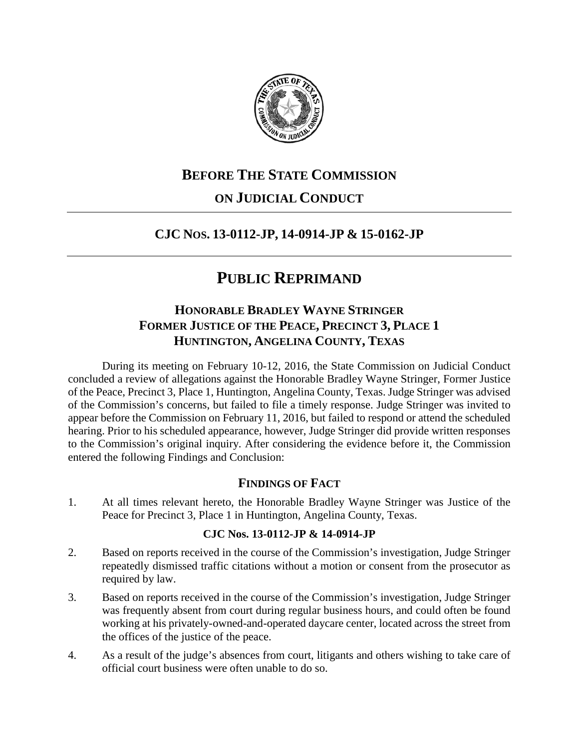

## **BEFORE THE STATE COMMISSION ON JUDICIAL CONDUCT**

## **CJC NOS. 13-0112-JP, 14-0914-JP & 15-0162-JP**

# **PUBLIC REPRIMAND**

## **HONORABLE BRADLEY WAYNE STRINGER FORMER JUSTICE OF THE PEACE, PRECINCT 3, PLACE 1 HUNTINGTON, ANGELINA COUNTY, TEXAS**

During its meeting on February 10-12, 2016, the State Commission on Judicial Conduct concluded a review of allegations against the Honorable Bradley Wayne Stringer, Former Justice of the Peace, Precinct 3, Place 1, Huntington, Angelina County, Texas. Judge Stringer was advised of the Commission's concerns, but failed to file a timely response. Judge Stringer was invited to appear before the Commission on February 11, 2016, but failed to respond or attend the scheduled hearing. Prior to his scheduled appearance, however, Judge Stringer did provide written responses to the Commission's original inquiry. After considering the evidence before it, the Commission entered the following Findings and Conclusion:

### **FINDINGS OF FACT**

1. At all times relevant hereto, the Honorable Bradley Wayne Stringer was Justice of the Peace for Precinct 3, Place 1 in Huntington, Angelina County, Texas.

### **CJC Nos. 13-0112-JP & 14-0914-JP**

- 2. Based on reports received in the course of the Commission's investigation, Judge Stringer repeatedly dismissed traffic citations without a motion or consent from the prosecutor as required by law.
- 3. Based on reports received in the course of the Commission's investigation, Judge Stringer was frequently absent from court during regular business hours, and could often be found working at his privately-owned-and-operated daycare center, located across the street from the offices of the justice of the peace.
- 4. As a result of the judge's absences from court, litigants and others wishing to take care of official court business were often unable to do so.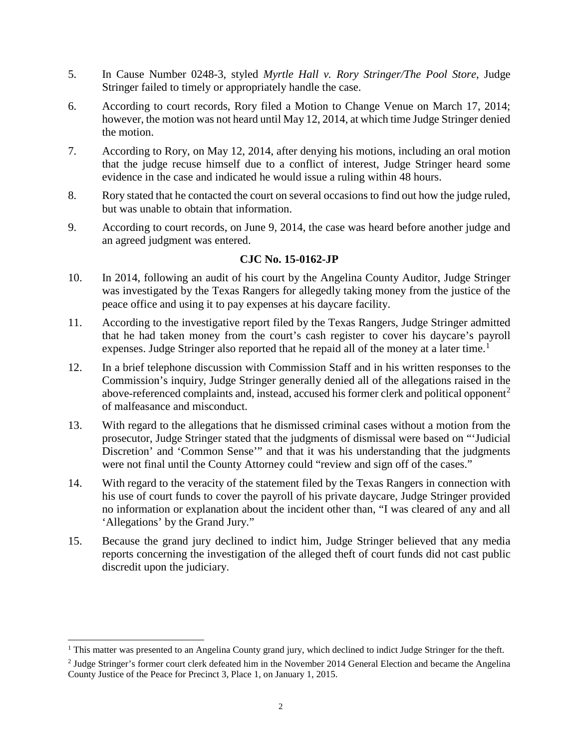- 5. In Cause Number 0248-3, styled *Myrtle Hall v. Rory Stringer/The Pool Store*, Judge Stringer failed to timely or appropriately handle the case.
- 6. According to court records, Rory filed a Motion to Change Venue on March 17, 2014; however, the motion was not heard until May 12, 2014, at which time Judge Stringer denied the motion.
- 7. According to Rory, on May 12, 2014, after denying his motions, including an oral motion that the judge recuse himself due to a conflict of interest, Judge Stringer heard some evidence in the case and indicated he would issue a ruling within 48 hours.
- 8. Rory stated that he contacted the court on several occasions to find out how the judge ruled, but was unable to obtain that information.
- 9. According to court records, on June 9, 2014, the case was heard before another judge and an agreed judgment was entered.

### **CJC No. 15-0162-JP**

- 10. In 2014, following an audit of his court by the Angelina County Auditor, Judge Stringer was investigated by the Texas Rangers for allegedly taking money from the justice of the peace office and using it to pay expenses at his daycare facility.
- 11. According to the investigative report filed by the Texas Rangers, Judge Stringer admitted that he had taken money from the court's cash register to cover his daycare's payroll expenses. Judge Stringer also reported that he repaid all of the money at a later time.<sup>[1](#page-1-0)</sup>
- 12. In a brief telephone discussion with Commission Staff and in his written responses to the Commission's inquiry, Judge Stringer generally denied all of the allegations raised in the above-referenced complaints and, instead, accused his former clerk and political opponent<sup>[2](#page-1-1)</sup> of malfeasance and misconduct.
- 13. With regard to the allegations that he dismissed criminal cases without a motion from the prosecutor, Judge Stringer stated that the judgments of dismissal were based on "'Judicial Discretion' and 'Common Sense'" and that it was his understanding that the judgments were not final until the County Attorney could "review and sign off of the cases."
- 14. With regard to the veracity of the statement filed by the Texas Rangers in connection with his use of court funds to cover the payroll of his private daycare, Judge Stringer provided no information or explanation about the incident other than, "I was cleared of any and all 'Allegations' by the Grand Jury."
- 15. Because the grand jury declined to indict him, Judge Stringer believed that any media reports concerning the investigation of the alleged theft of court funds did not cast public discredit upon the judiciary.

<span id="page-1-0"></span><sup>&</sup>lt;sup>1</sup> This matter was presented to an Angelina County grand jury, which declined to indict Judge Stringer for the theft.

<span id="page-1-1"></span><sup>&</sup>lt;sup>2</sup> Judge Stringer's former court clerk defeated him in the November 2014 General Election and became the Angelina County Justice of the Peace for Precinct 3, Place 1, on January 1, 2015.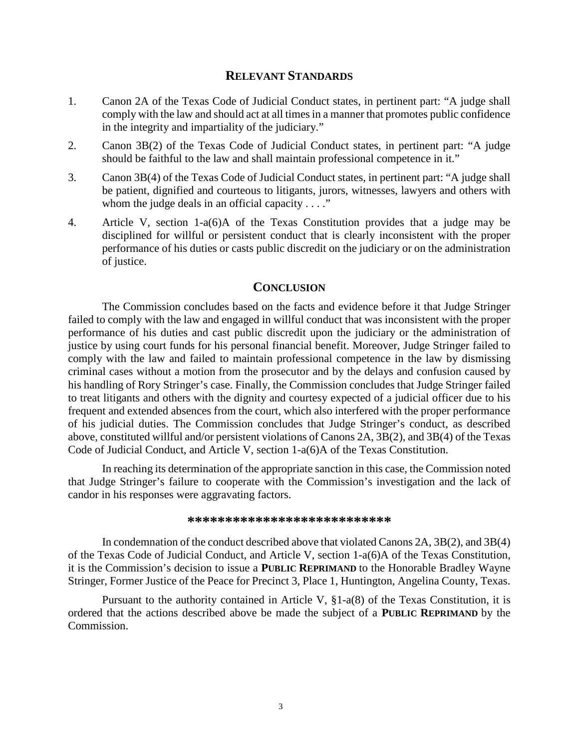#### **RELEVANT STANDARDS**

- 1. Canon 2A of the Texas Code of Judicial Conduct states, in pertinent part: "A judge shall comply with the law and should act at all times in a manner that promotes public confidence in the integrity and impartiality of the judiciary."
- 2. Canon 3B(2) of the Texas Code of Judicial Conduct states, in pertinent part: "A judge should be faithful to the law and shall maintain professional competence in it."
- 3. Canon 3B(4) of the Texas Code of Judicial Conduct states, in pertinent part: "A judge shall be patient, dignified and courteous to litigants, jurors, witnesses, lawyers and others with whom the judge deals in an official capacity  $\dots$ ."
- 4. Article V, section 1-a(6)A of the Texas Constitution provides that a judge may be disciplined for willful or persistent conduct that is clearly inconsistent with the proper performance of his duties or casts public discredit on the judiciary or on the administration of justice.

#### **CONCLUSION**

The Commission concludes based on the facts and evidence before it that Judge Stringer failed to comply with the law and engaged in willful conduct that was inconsistent with the proper performance of his duties and cast public discredit upon the judiciary or the administration of justice by using court funds for his personal financial benefit. Moreover, Judge Stringer failed to comply with the law and failed to maintain professional competence in the law by dismissing criminal cases without a motion from the prosecutor and by the delays and confusion caused by his handling of Rory Stringer's case. Finally, the Commission concludes that Judge Stringer failed to treat litigants and others with the dignity and courtesy expected of a judicial officer due to his frequent and extended absences from the court, which also interfered with the proper performance of his judicial duties. The Commission concludes that Judge Stringer's conduct, as described above, constituted willful and/or persistent violations of Canons 2A, 3B(2), and 3B(4) of the Texas Code of Judicial Conduct, and Article V, section 1-a(6)A of the Texas Constitution.

In reaching its determination of the appropriate sanction in this case, the Commission noted that Judge Stringer's failure to cooperate with the Commission's investigation and the lack of candor in his responses were aggravating factors.

#### **\*\*\*\*\*\*\*\*\*\*\*\*\*\*\*\*\*\*\*\*\*\*\*\*\*\*\***

In condemnation of the conduct described above that violated Canons 2A, 3B(2), and 3B(4) of the Texas Code of Judicial Conduct, and Article V, section 1-a(6)A of the Texas Constitution, it is the Commission's decision to issue a **PUBLIC REPRIMAND** to the Honorable Bradley Wayne Stringer, Former Justice of the Peace for Precinct 3, Place 1, Huntington, Angelina County, Texas.

Pursuant to the authority contained in Article V, §1-a(8) of the Texas Constitution, it is ordered that the actions described above be made the subject of a **PUBLIC REPRIMAND** by the Commission.